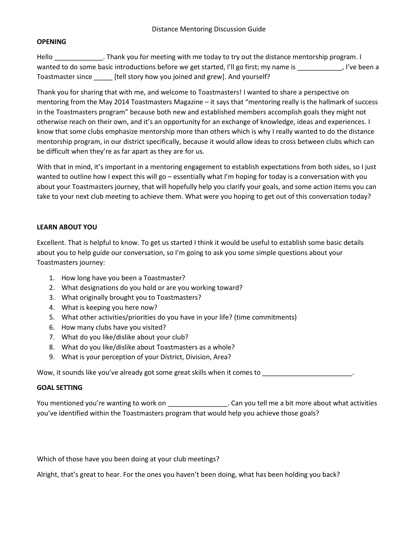## **OPENING**

Hello Figure 2. Thank you for meeting with me today to try out the distance mentorship program. I wanted to do some basic introductions before we get started, I'll go first; my name is \_\_\_\_\_\_\_\_\_\_\_, I've been a Toastmaster since \_\_\_\_\_ [tell story how you joined and grew]. And yourself?

Thank you for sharing that with me, and welcome to Toastmasters! I wanted to share a perspective on mentoring from the May 2014 Toastmasters Magazine – it says that "mentoring really is the hallmark of success in the Toastmasters program" because both new and established members accomplish goals they might not otherwise reach on their own, and it's an opportunity for an exchange of knowledge, ideas and experiences. I know that some clubs emphasize mentorship more than others which is why I really wanted to do the distance mentorship program, in our district specifically, because it would allow ideas to cross between clubs which can be difficult when they're as far apart as they are for us.

With that in mind, it's important in a mentoring engagement to establish expectations from both sides, so I just wanted to outline how I expect this will go – essentially what I'm hoping for today is a conversation with you about your Toastmasters journey, that will hopefully help you clarify your goals, and some action items you can take to your next club meeting to achieve them. What were you hoping to get out of this conversation today?

## **LEARN ABOUT YOU**

Excellent. That is helpful to know. To get us started I think it would be useful to establish some basic details about you to help guide our conversation, so I'm going to ask you some simple questions about your Toastmasters journey:

- 1. How long have you been a Toastmaster?
- 2. What designations do you hold or are you working toward?
- 3. What originally brought you to Toastmasters?
- 4. What is keeping you here now?
- 5. What other activities/priorities do you have in your life? (time commitments)
- 6. How many clubs have you visited?
- 7. What do you like/dislike about your club?
- 8. What do you like/dislike about Toastmasters as a whole?
- 9. What is your perception of your District, Division, Area?

Wow, it sounds like you've already got some great skills when it comes to \_\_\_\_\_\_\_\_\_\_\_\_

## **GOAL SETTING**

You mentioned you're wanting to work on \_\_\_\_\_\_\_\_\_\_\_\_\_\_\_\_\_\_\_\_. Can you tell me a bit more about what activities you've identified within the Toastmasters program that would help you achieve those goals?

Which of those have you been doing at your club meetings?

Alright, that's great to hear. For the ones you haven't been doing, what has been holding you back?